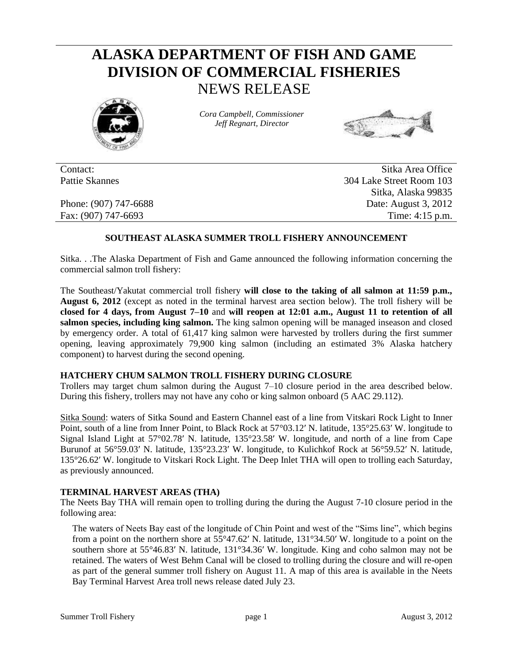# **ALASKA DEPARTMENT OF FISH AND GAME DIVISION OF COMMERCIAL FISHERIES** NEWS RELEASE



*Cora Campbell, Commissioner Jeff Regnart, Director*



Contact: Sitka Area Office Pattie Skannes 304 Lake Street Room 103 Sitka, Alaska 99835 Phone: (907) 747-6688 Date: August 3, 2012 Fax: (907) 747-6693 Time: 4:15 p.m.

### **SOUTHEAST ALASKA SUMMER TROLL FISHERY ANNOUNCEMENT**

Sitka. . .The Alaska Department of Fish and Game announced the following information concerning the commercial salmon troll fishery:

The Southeast/Yakutat commercial troll fishery **will close to the taking of all salmon at 11:59 p.m., August 6, 2012** (except as noted in the terminal harvest area section below). The troll fishery will be **closed for 4 days, from August 7–10** and **will reopen at 12:01 a.m., August 11 to retention of all salmon species, including king salmon.** The king salmon opening will be managed inseason and closed by emergency order. A total of 61,417 king salmon were harvested by trollers during the first summer opening, leaving approximately 79,900 king salmon (including an estimated 3% Alaska hatchery component) to harvest during the second opening.

#### **HATCHERY CHUM SALMON TROLL FISHERY DURING CLOSURE**

Trollers may target chum salmon during the August 7–10 closure period in the area described below. During this fishery, trollers may not have any coho or king salmon onboard (5 AAC 29.112).

Sitka Sound: waters of Sitka Sound and Eastern Channel east of a line from Vitskari Rock Light to Inner Point, south of a line from Inner Point, to Black Rock at 57°03.12′ N. latitude, 135°25.63′ W. longitude to Signal Island Light at 57°02.78′ N. latitude, 135°23.58′ W. longitude, and north of a line from Cape Burunof at 56°59.03′ N. latitude, 135°23.23′ W. longitude, to Kulichkof Rock at 56°59.52′ N. latitude, 135°26.62′ W. longitude to Vitskari Rock Light. The Deep Inlet THA will open to trolling each Saturday, as previously announced.

#### **TERMINAL HARVEST AREAS (THA)**

The Neets Bay THA will remain open to trolling during the during the August 7-10 closure period in the following area:

The waters of Neets Bay east of the longitude of Chin Point and west of the "Sims line", which begins from a point on the northern shore at 55°47.62′ N. latitude, 131°34.50′ W. longitude to a point on the southern shore at 55°46.83′ N. latitude, 131°34.36′ W. longitude. King and coho salmon may not be retained. The waters of West Behm Canal will be closed to trolling during the closure and will re-open as part of the general summer troll fishery on August 11. A map of this area is available in the Neets Bay Terminal Harvest Area troll news release dated July 23.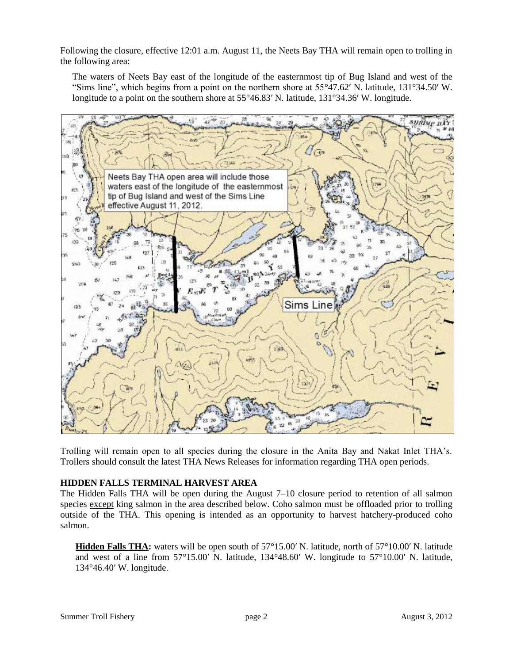Following the closure, effective 12:01 a.m. August 11, the Neets Bay THA will remain open to trolling in the following area:

The waters of Neets Bay east of the longitude of the easternmost tip of Bug Island and west of the "Sims line", which begins from a point on the northern shore at 55°47.62′ N. latitude, 131°34.50′ W. longitude to a point on the southern shore at 55°46.83′ N. latitude, 131°34.36′ W. longitude.



Trolling will remain open to all species during the closure in the Anita Bay and Nakat Inlet THA's. Trollers should consult the latest THA News Releases for information regarding THA open periods.

#### **HIDDEN FALLS TERMINAL HARVEST AREA**

The Hidden Falls THA will be open during the August 7–10 closure period to retention of all salmon species except king salmon in the area described below. Coho salmon must be offloaded prior to trolling outside of the THA. This opening is intended as an opportunity to harvest hatchery-produced coho salmon.

**Hidden Falls THA:** waters will be open south of 57°15.00′ N. latitude, north of 57°10.00′ N. latitude and west of a line from 57°15.00′ N. latitude, 134°48.60′ W. longitude to 57°10.00′ N. latitude, 134°46.40′ W. longitude.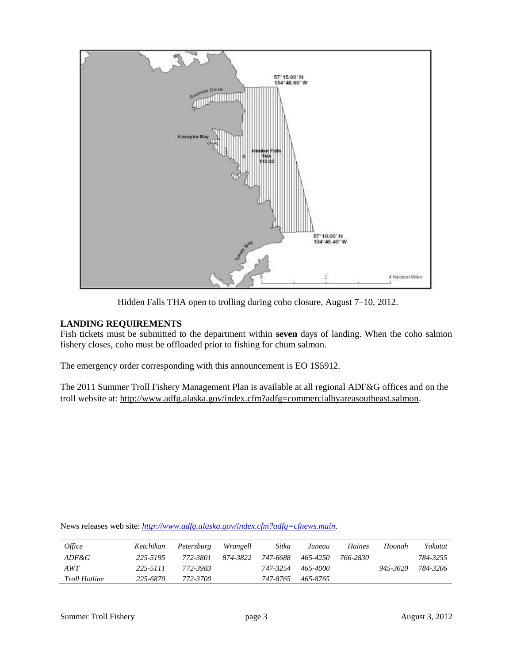

Hidden Falls THA open to trolling during coho closure, August 7–10, 2012.

## **LANDING REQUIREMENTS**

Fish tickets must be submitted to the department within **seven** days of landing. When the coho salmon fishery closes, coho must be offloaded prior to fishing for chum salmon.

The emergency order corresponding with this announcement is EO 1S5912.

The 2011 Summer Troll Fishery Management Plan is available at all regional ADF&G offices and on the troll website at:<http://www.adfg.alaska.gov/index.cfm?adfg=commercialbyareasoutheast.salmon>.

| <i>Office</i>        | Ketchikan | Petersburg | Wrangell | Sitka    | Juneau   | Haines   | Hoonah   | Yakutat  |
|----------------------|-----------|------------|----------|----------|----------|----------|----------|----------|
| ADF&G                | 225-5195  | 772-3801   | 874-3822 | 747-6688 | 465-4250 | 766-2830 |          | 784-3255 |
| AWT                  | 225-5111  | 772-3983   |          | 747-3254 | 465-4000 |          | 945-3620 | 784-3206 |
| <i>Troll Hotline</i> | 225-6870  | 772-3700   |          | 747-8765 | 465-8765 |          |          |          |

News releases web site: *[http://www.adfg.alaska.gov/index.cfm?adfg=cfnews.main.](http://www.adfg.alaska.gov/index.cfm?adfg=cfnews.main)*